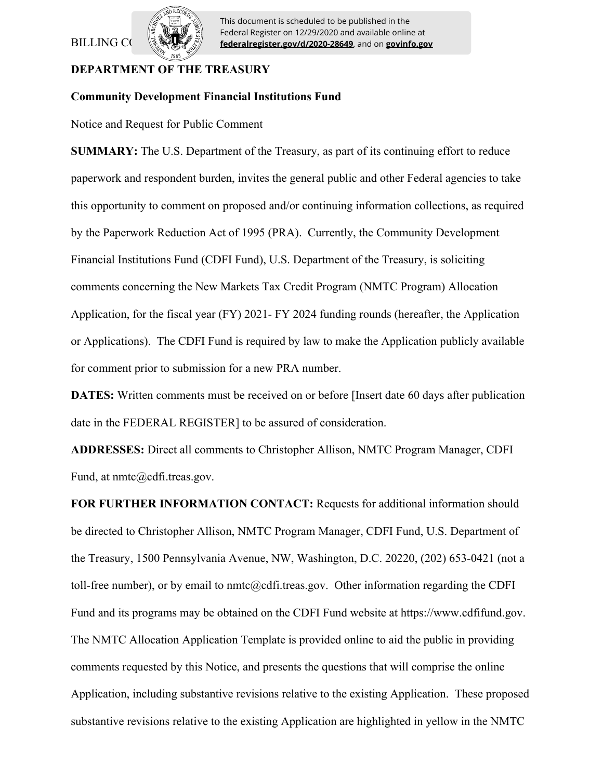# BILLING CO



This document is scheduled to be published in the Federal Register on 12/29/2020 and available online at **federalregister.gov/d/2020-28649**, and on **govinfo.gov**

## **DEPARTMENT OF THE TREASURY**

### **Community Development Financial Institutions Fund**

Notice and Request for Public Comment

**SUMMARY:** The U.S. Department of the Treasury, as part of its continuing effort to reduce paperwork and respondent burden, invites the general public and other Federal agencies to take this opportunity to comment on proposed and/or continuing information collections, as required by the Paperwork Reduction Act of 1995 (PRA). Currently, the Community Development Financial Institutions Fund (CDFI Fund), U.S. Department of the Treasury, is soliciting comments concerning the New Markets Tax Credit Program (NMTC Program) Allocation Application, for the fiscal year (FY) 2021- FY 2024 funding rounds (hereafter, the Application or Applications). The CDFI Fund is required by law to make the Application publicly available for comment prior to submission for a new PRA number.

**DATES:** Written comments must be received on or before [Insert date 60 days after publication date in the FEDERAL REGISTER] to be assured of consideration.

**ADDRESSES:** Direct all comments to Christopher Allison, NMTC Program Manager, CDFI Fund, at nmtc@cdfi.treas.gov.

**FOR FURTHER INFORMATION CONTACT:** Requests for additional information should be directed to Christopher Allison, NMTC Program Manager, CDFI Fund, U.S. Department of the Treasury, 1500 Pennsylvania Avenue, NW, Washington, D.C. 20220, (202) 653-0421 (not a toll-free number), or by email to nmtc@cdfi.treas.gov. Other information regarding the CDFI Fund and its programs may be obtained on the CDFI Fund website at https://www.cdfifund.gov. The NMTC Allocation Application Template is provided online to aid the public in providing comments requested by this Notice, and presents the questions that will comprise the online Application, including substantive revisions relative to the existing Application. These proposed substantive revisions relative to the existing Application are highlighted in yellow in the NMTC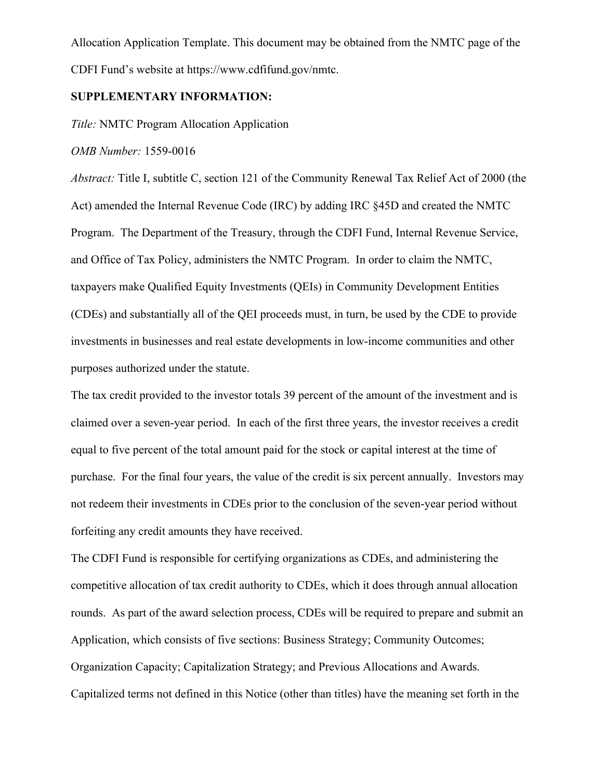Allocation Application Template. This document may be obtained from the NMTC page of the CDFI Fund's website at https://www.cdfifund.gov/nmtc.

## **SUPPLEMENTARY INFORMATION:**

*Title:* NMTC Program Allocation Application

*OMB Number:* 1559-0016

*Abstract:* Title I, subtitle C, section 121 of the Community Renewal Tax Relief Act of 2000 (the Act) amended the Internal Revenue Code (IRC) by adding IRC §45D and created the NMTC Program. The Department of the Treasury, through the CDFI Fund, Internal Revenue Service, and Office of Tax Policy, administers the NMTC Program. In order to claim the NMTC, taxpayers make Qualified Equity Investments (QEIs) in Community Development Entities (CDEs) and substantially all of the QEI proceeds must, in turn, be used by the CDE to provide investments in businesses and real estate developments in low-income communities and other purposes authorized under the statute.

The tax credit provided to the investor totals 39 percent of the amount of the investment and is claimed over a seven-year period. In each of the first three years, the investor receives a credit equal to five percent of the total amount paid for the stock or capital interest at the time of purchase. For the final four years, the value of the credit is six percent annually. Investors may not redeem their investments in CDEs prior to the conclusion of the seven-year period without forfeiting any credit amounts they have received.

The CDFI Fund is responsible for certifying organizations as CDEs, and administering the competitive allocation of tax credit authority to CDEs, which it does through annual allocation rounds. As part of the award selection process, CDEs will be required to prepare and submit an Application, which consists of five sections: Business Strategy; Community Outcomes; Organization Capacity; Capitalization Strategy; and Previous Allocations and Awards. Capitalized terms not defined in this Notice (other than titles) have the meaning set forth in the